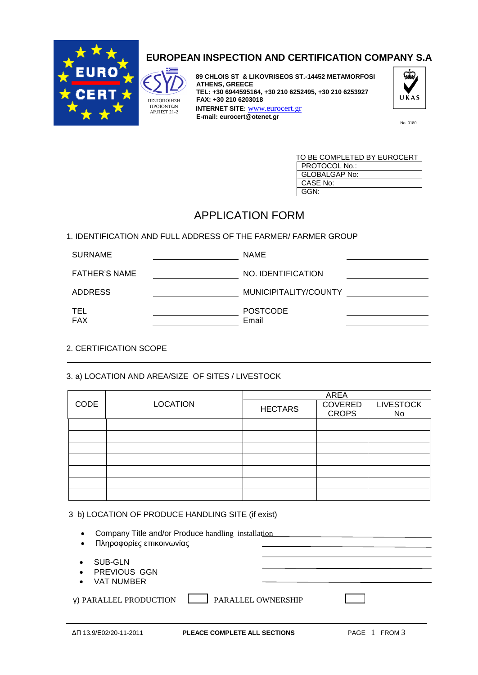

## **EUROPEAN INSPECTION AND CERTIFICATION COMPANY S.A**

ΠΙΣΤΟΠΟΙΗΣΗ ΠΡΟΪΟΝΤΩΝ ΑΡ.ΠΙΣΤ 21-2

 **89 CHLOIS ST & LIKOVRISEOS ST.-14452 METAMORFOSI ATHENS, GREECE TEL: +30 6944595164, +30 210 6252495, +30 210 6253927 FAX: +30 210 6203018 INTERNET SITE:** [www.eurocert.gr](http://www.eurocert.gr/) **E-mail: eurocert@otenet.gr** 



| TO BE COMPLETED BY EUROCERT |
|-----------------------------|
| PROTOCOL No.:               |
| <b>GLOBALGAP No:</b>        |
| CASE No:                    |
| GGN·                        |

# APPLICATION FORM

### 1. IDENTIFICATION AND FULL ADDRESS OF THE FARMER/ FARMER GROUP

| <b>SURNAME</b>       | <b>NAME</b>              |  |
|----------------------|--------------------------|--|
| <b>FATHER'S NAME</b> | NO. IDENTIFICATION       |  |
| <b>ADDRESS</b>       | MUNICIPITALITY/COUNTY    |  |
| TEL<br><b>FAX</b>    | <b>POSTCODE</b><br>Email |  |

### 2. CERTIFICATION SCOPE

### 3. a) LOCATION AND AREA/SIZE OF SITES / LIVESTOCK

|             | <b>LOCATION</b> | <b>AREA</b>    |                                |                        |  |
|-------------|-----------------|----------------|--------------------------------|------------------------|--|
| <b>CODE</b> |                 | <b>HECTARS</b> | <b>COVERED</b><br><b>CROPS</b> | <b>LIVESTOCK</b><br>No |  |
|             |                 |                |                                |                        |  |
|             |                 |                |                                |                        |  |
|             |                 |                |                                |                        |  |
|             |                 |                |                                |                        |  |
|             |                 |                |                                |                        |  |
|             |                 |                |                                |                        |  |
|             |                 |                |                                |                        |  |
|             |                 |                |                                |                        |  |

#### 3 b) LOCATION OF PRODUCE HANDLING SITE (if exist)

| Company Title and/or Produce handling installation<br>$\bullet$<br>Πληροφορίες επικοινωνίας<br>$\bullet$ |                           |
|----------------------------------------------------------------------------------------------------------|---------------------------|
| SUB-GLN<br>PREVIOUS GGN<br>$\bullet$<br><b>VAT NUMBER</b><br>$\bullet$                                   |                           |
| <b>y) PARALLEL PRODUCTION</b>                                                                            | <b>PARALLEL OWNERSHIP</b> |
|                                                                                                          |                           |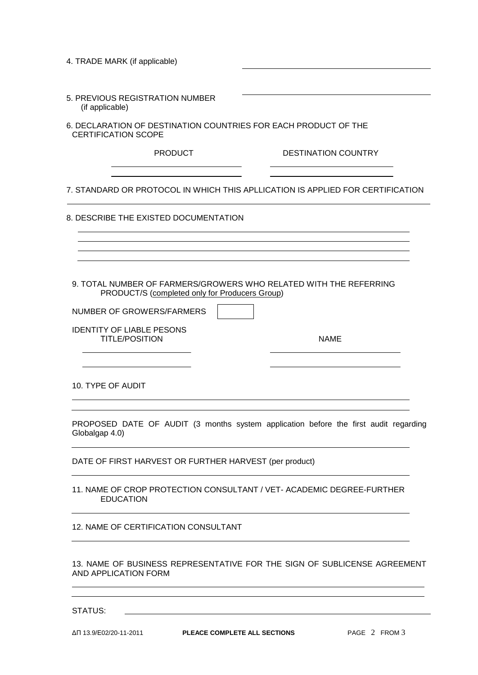| 6. DECLARATION OF DESTINATION COUNTRIES FOR EACH PRODUCT OF THE                                                     |
|---------------------------------------------------------------------------------------------------------------------|
| <b>DESTINATION COUNTRY</b>                                                                                          |
| 7. STANDARD OR PROTOCOL IN WHICH THIS APLLICATION IS APPLIED FOR CERTIFICATION                                      |
|                                                                                                                     |
|                                                                                                                     |
|                                                                                                                     |
| 9. TOTAL NUMBER OF FARMERS/GROWERS WHO RELATED WITH THE REFERRING<br>PRODUCT/S (completed only for Producers Group) |
|                                                                                                                     |
| <b>NAME</b>                                                                                                         |
|                                                                                                                     |
| PROPOSED DATE OF AUDIT (3 months system application before the first audit regarding                                |
| DATE OF FIRST HARVEST OR FURTHER HARVEST (per product)                                                              |
| 11. NAME OF CROP PROTECTION CONSULTANT / VET- ACADEMIC DEGREE-FURTHER                                               |
|                                                                                                                     |
| 13. NAME OF BUSINESS REPRESENTATIVE FOR THE SIGN OF SUBLICENSE AGREEMENT                                            |
|                                                                                                                     |

STATUS: